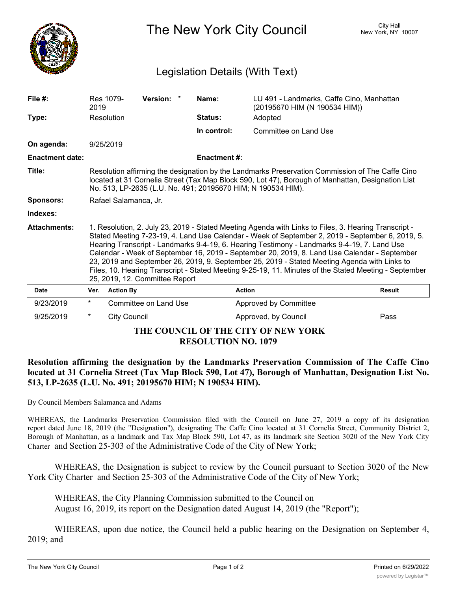

The New York City Council New York, NY 10007

## Legislation Details (With Text)

| File #:                | 2019                                                                                                                                                                                                                                                                                                                                                                                                                                                                                                                                                                                                                                               | Res 1079-           | Version: *            |  | Name:                      | LU 491 - Landmarks, Caffe Cino, Manhattan<br>(20195670 HIM (N 190534 HIM)) |               |
|------------------------|----------------------------------------------------------------------------------------------------------------------------------------------------------------------------------------------------------------------------------------------------------------------------------------------------------------------------------------------------------------------------------------------------------------------------------------------------------------------------------------------------------------------------------------------------------------------------------------------------------------------------------------------------|---------------------|-----------------------|--|----------------------------|----------------------------------------------------------------------------|---------------|
| Type:                  |                                                                                                                                                                                                                                                                                                                                                                                                                                                                                                                                                                                                                                                    | Resolution          |                       |  | <b>Status:</b>             | Adopted                                                                    |               |
|                        |                                                                                                                                                                                                                                                                                                                                                                                                                                                                                                                                                                                                                                                    |                     |                       |  | In control:                | <b>Committee on Land Use</b>                                               |               |
| On agenda:             |                                                                                                                                                                                                                                                                                                                                                                                                                                                                                                                                                                                                                                                    | 9/25/2019           |                       |  |                            |                                                                            |               |
| <b>Enactment date:</b> |                                                                                                                                                                                                                                                                                                                                                                                                                                                                                                                                                                                                                                                    |                     |                       |  | <b>Enactment #:</b>        |                                                                            |               |
| Title:                 | Resolution affirming the designation by the Landmarks Preservation Commission of The Caffe Cino<br>located at 31 Cornelia Street (Tax Map Block 590, Lot 47), Borough of Manhattan, Designation List<br>No. 513, LP-2635 (L.U. No. 491; 20195670 HIM; N 190534 HIM).                                                                                                                                                                                                                                                                                                                                                                               |                     |                       |  |                            |                                                                            |               |
| <b>Sponsors:</b>       | Rafael Salamanca, Jr.                                                                                                                                                                                                                                                                                                                                                                                                                                                                                                                                                                                                                              |                     |                       |  |                            |                                                                            |               |
| Indexes:               |                                                                                                                                                                                                                                                                                                                                                                                                                                                                                                                                                                                                                                                    |                     |                       |  |                            |                                                                            |               |
| <b>Attachments:</b>    | 1. Resolution, 2. July 23, 2019 - Stated Meeting Agenda with Links to Files, 3. Hearing Transcript -<br>Stated Meeting 7-23-19, 4. Land Use Calendar - Week of September 2, 2019 - September 6, 2019, 5.<br>Hearing Transcript - Landmarks 9-4-19, 6. Hearing Testimony - Landmarks 9-4-19, 7. Land Use<br>Calendar - Week of September 16, 2019 - September 20, 2019, 8. Land Use Calendar - September<br>23, 2019 and September 26, 2019, 9. September 25, 2019 - Stated Meeting Agenda with Links to<br>Files, 10. Hearing Transcript - Stated Meeting 9-25-19, 11. Minutes of the Stated Meeting - September<br>25, 2019, 12. Committee Report |                     |                       |  |                            |                                                                            |               |
| <b>Date</b>            | Ver.                                                                                                                                                                                                                                                                                                                                                                                                                                                                                                                                                                                                                                               | <b>Action By</b>    |                       |  | <b>Action</b>              |                                                                            | <b>Result</b> |
| 9/23/2019              | $^{\star}$                                                                                                                                                                                                                                                                                                                                                                                                                                                                                                                                                                                                                                         |                     | Committee on Land Use |  |                            | Approved by Committee                                                      |               |
| 9/25/2019              | $^\star$                                                                                                                                                                                                                                                                                                                                                                                                                                                                                                                                                                                                                                           | <b>City Council</b> |                       |  |                            | Approved, by Council                                                       | Pass          |
|                        |                                                                                                                                                                                                                                                                                                                                                                                                                                                                                                                                                                                                                                                    |                     |                       |  | <b>RESOLUTION NO. 1079</b> | THE COUNCIL OF THE CITY OF NEW YORK                                        |               |

## **Resolution affirming the designation by the Landmarks Preservation Commission of The Caffe Cino located at 31 Cornelia Street (Tax Map Block 590, Lot 47), Borough of Manhattan, Designation List No. 513, LP-2635 (L.U. No. 491; 20195670 HIM; N 190534 HIM).**

By Council Members Salamanca and Adams

WHEREAS, the Landmarks Preservation Commission filed with the Council on June 27, 2019 a copy of its designation report dated June 18, 2019 (the "Designation"), designating The Caffe Cino located at 31 Cornelia Street, Community District 2, Borough of Manhattan, as a landmark and Tax Map Block 590, Lot 47, as its landmark site Section 3020 of the New York City Charter and Section 25-303 of the Administrative Code of the City of New York;

WHEREAS, the Designation is subject to review by the Council pursuant to Section 3020 of the New York City Charter and Section 25-303 of the Administrative Code of the City of New York;

WHEREAS, the City Planning Commission submitted to the Council on August 16, 2019, its report on the Designation dated August 14, 2019 (the "Report");

WHEREAS, upon due notice, the Council held a public hearing on the Designation on September 4, 2019; and